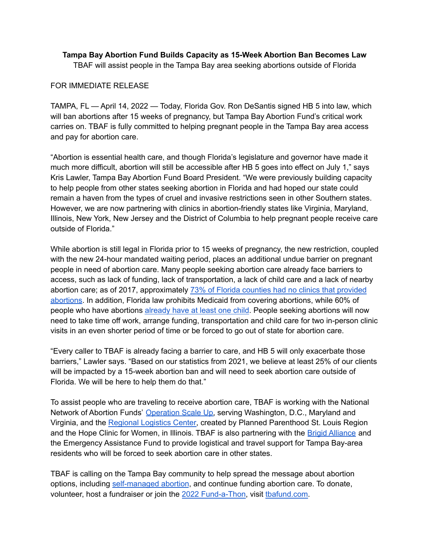## **Tampa Bay Abortion Fund Builds Capacity as 15-Week Abortion Ban Becomes Law** TBAF will assist people in the Tampa Bay area seeking abortions outside of Florida

## FOR IMMEDIATE RELEASE

TAMPA, FL — April 14, 2022 — Today, Florida Gov. Ron DeSantis signed HB 5 into law, which will ban abortions after 15 weeks of pregnancy, but Tampa Bay Abortion Fund's critical work carries on. TBAF is fully committed to helping pregnant people in the Tampa Bay area access and pay for abortion care.

"Abortion is essential health care, and though Florida's legislature and governor have made it much more difficult, abortion will still be accessible after HB 5 goes into effect on July 1," says Kris Lawler, Tampa Bay Abortion Fund Board President. "We were previously building capacity to help people from other states seeking abortion in Florida and had hoped our state could remain a haven from the types of cruel and invasive restrictions seen in other Southern states. However, we are now partnering with clinics in abortion-friendly states like Virginia, Maryland, Illinois, New York, New Jersey and the District of Columbia to help pregnant people receive care outside of Florida."

While abortion is still legal in Florida prior to 15 weeks of pregnancy, the new restriction, coupled with the new 24-hour mandated waiting period, places an additional undue barrier on pregnant people in need of abortion care. Many people seeking abortion care already face barriers to access, such as lack of funding, lack of transportation, a lack of child care and a lack of nearby abortion care; as of 2017, approximately 73% of Florida counties had no clinics that [provided](https://www.guttmacher.org/fact-sheet/state-facts-about-abortion-florida) [abortions](https://www.guttmacher.org/fact-sheet/state-facts-about-abortion-florida). In addition, Florida law prohibits Medicaid from covering abortions, while 60% of people who have abortions [already](https://www.nytimes.com/interactive/2021/12/14/upshot/who-gets-abortions-in-america.html) have at least one child. People seeking abortions will now need to take time off work, arrange funding, transportation and child care for two in-person clinic visits in an even shorter period of time or be forced to go out of state for abortion care.

"Every caller to TBAF is already facing a barrier to care, and HB 5 will only exacerbate those barriers," Lawler says. "Based on our statistics from 2021, we believe at least 25% of our clients will be impacted by a 15-week abortion ban and will need to seek abortion care outside of Florida. We will be here to help them do that."

To assist people who are traveling to receive abortion care, TBAF is working with the National Network of Abortion Funds' [Operation](https://abortionfunds.org/osu-will-transform-abortion-funding/) Scale Up, serving Washington, D.C., Maryland and Virginia, and the [Regional](https://www.plannedparenthood.org/reproductive-health-services-planned-parenthood-st-louis-region/press-releases/planned-parenthood-opens-regional-logistics-center-on-the-anniversary-of-roe-v-wade) Logistics Center, created by Planned Parenthood St. Louis Region and the Hope Clinic for Women, in Illinois. TBAF is also partnering with the Brigid [Alliance](https://brigidalliance.org/) and the Emergency Assistance Fund to provide logistical and travel support for Tampa Bay-area residents who will be forced to seek abortion care in other states.

TBAF is calling on the Tampa Bay community to help spread the message about abortion options, including [self-managed](https://tbaforce.com/2022/01/16/1-11-22/) abortion, and continue funding abortion care. To donate, volunteer, host a fundraiser or join the 2022 [Fund-a-Thon](https://fund.nnef.org/TBAF22), visit thafund.com.